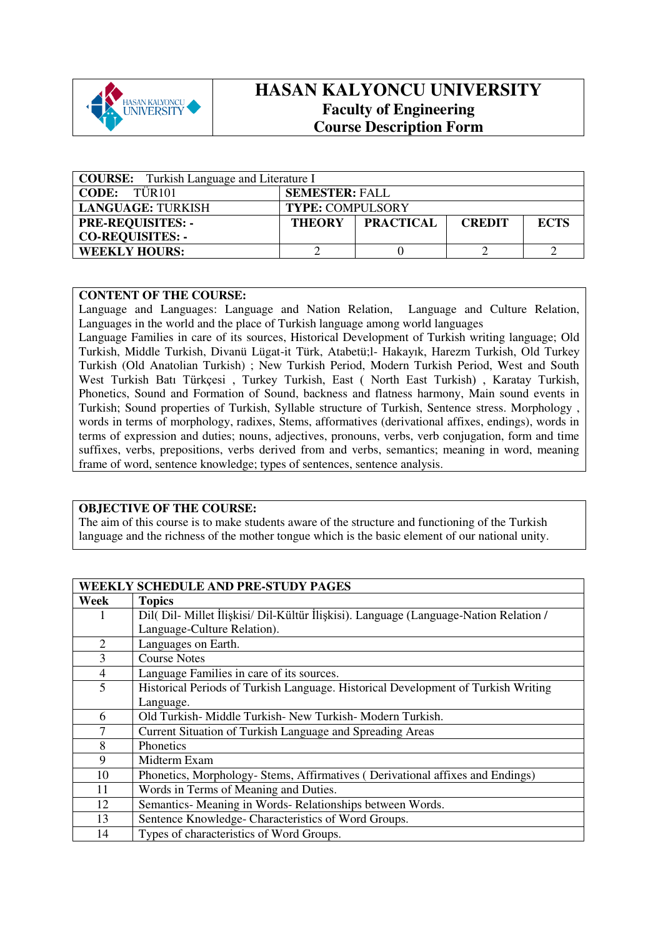

## **HASAN KALYONCU UNIVERSITY Faculty of Engineering Course Description Form**

| <b>COURSE:</b> Turkish Language and Literature I |                         |                  |               |             |  |
|--------------------------------------------------|-------------------------|------------------|---------------|-------------|--|
| TÜR <sub>101</sub><br><b>CODE:</b>               | <b>SEMESTER: FALL</b>   |                  |               |             |  |
| <b>LANGUAGE: TURKISH</b>                         | <b>TYPE: COMPULSORY</b> |                  |               |             |  |
| <b>PRE-REQUISITES: -</b>                         | <b>THEORY</b>           | <b>PRACTICAL</b> | <b>CREDIT</b> | <b>ECTS</b> |  |
| <b>CO-REQUISITES: -</b>                          |                         |                  |               |             |  |
| <b>WEEKLY HOURS:</b>                             |                         |                  |               |             |  |

## **CONTENT OF THE COURSE:**

Language and Languages: Language and Nation Relation, Language and Culture Relation, Languages in the world and the place of Turkish language among world languages

Language Families in care of its sources, Historical Development of Turkish writing language; Old Turkish, Middle Turkish, Divanü Lügat-it Türk, Atabetü;l- Hakayık, Harezm Turkish, Old Turkey Turkish (Old Anatolian Turkish) ; New Turkish Period, Modern Turkish Period, West and South West Turkish Batı Türkçesi , Turkey Turkish, East ( North East Turkish) , Karatay Turkish, Phonetics, Sound and Formation of Sound, backness and flatness harmony, Main sound events in Turkish; Sound properties of Turkish, Syllable structure of Turkish, Sentence stress. Morphology , words in terms of morphology, radixes, Stems, afformatives (derivational affixes, endings), words in terms of expression and duties; nouns, adjectives, pronouns, verbs, verb conjugation, form and time suffixes, verbs, prepositions, verbs derived from and verbs, semantics; meaning in word, meaning frame of word, sentence knowledge; types of sentences, sentence analysis.

## **OBJECTIVE OF THE COURSE:**

The aim of this course is to make students aware of the structure and functioning of the Turkish language and the richness of the mother tongue which is the basic element of our national unity.

|                | <b>WEEKLY SCHEDULE AND PRE-STUDY PAGES</b>                                            |
|----------------|---------------------------------------------------------------------------------------|
| Week           | <b>Topics</b>                                                                         |
| 1              | Dil( Dil- Millet İlişkisi/ Dil-Kültür İlişkisi). Language (Language-Nation Relation / |
|                | Language-Culture Relation).                                                           |
| 2              | Languages on Earth.                                                                   |
| 3              | <b>Course Notes</b>                                                                   |
| $\overline{4}$ | Language Families in care of its sources.                                             |
| 5              | Historical Periods of Turkish Language. Historical Development of Turkish Writing     |
|                | Language.                                                                             |
| 6              | Old Turkish- Middle Turkish- New Turkish- Modern Turkish.                             |
| 7              | Current Situation of Turkish Language and Spreading Areas                             |
| 8              | Phonetics                                                                             |
| 9              | Midterm Exam                                                                          |
| 10             | Phonetics, Morphology- Stems, Affirmatives (Derivational affixes and Endings)         |
| 11             | Words in Terms of Meaning and Duties.                                                 |
| 12             | Semantics- Meaning in Words- Relationships between Words.                             |
| 13             | Sentence Knowledge-Characteristics of Word Groups.                                    |
| 14             | Types of characteristics of Word Groups.                                              |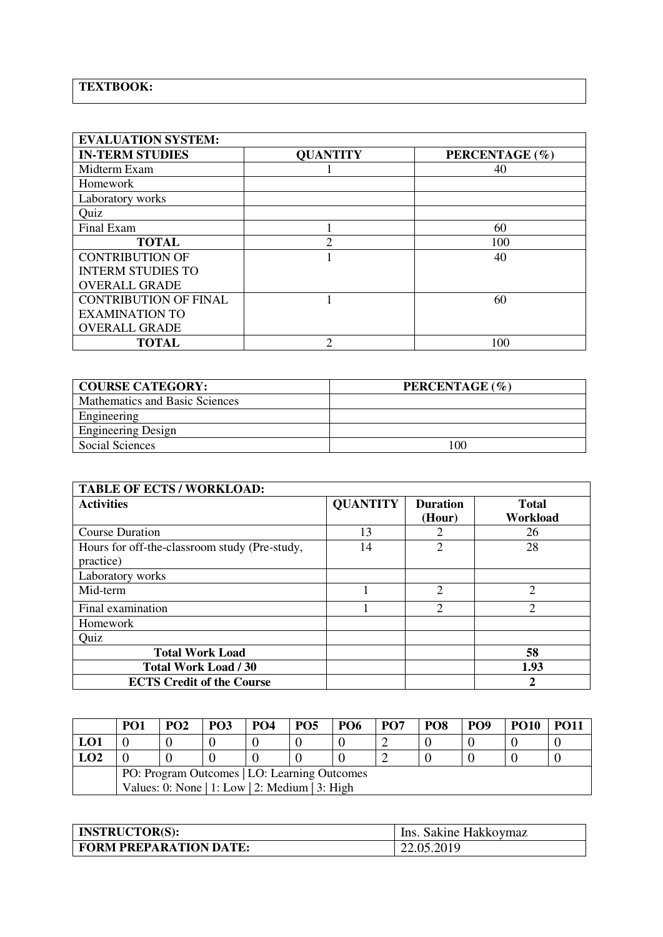## **TEXTBOOK:**

| <b>EVALUATION SYSTEM:</b>    |                 |                |  |  |  |  |
|------------------------------|-----------------|----------------|--|--|--|--|
| <b>IN-TERM STUDIES</b>       | <b>QUANTITY</b> | PERCENTAGE (%) |  |  |  |  |
| Midterm Exam                 |                 | 40             |  |  |  |  |
| Homework                     |                 |                |  |  |  |  |
| Laboratory works             |                 |                |  |  |  |  |
| Quiz                         |                 |                |  |  |  |  |
| Final Exam                   |                 | 60             |  |  |  |  |
| <b>TOTAL</b>                 | $\mathfrak{D}$  | 100            |  |  |  |  |
| <b>CONTRIBUTION OF</b>       |                 | 40             |  |  |  |  |
| <b>INTERM STUDIES TO</b>     |                 |                |  |  |  |  |
| <b>OVERALL GRADE</b>         |                 |                |  |  |  |  |
| <b>CONTRIBUTION OF FINAL</b> |                 | 60             |  |  |  |  |
| <b>EXAMINATION TO</b>        |                 |                |  |  |  |  |
| <b>OVERALL GRADE</b>         |                 |                |  |  |  |  |
| <b>TOTAL</b>                 | っ               | 100            |  |  |  |  |

| <b>COURSE CATEGORY:</b>        | PERCENTAGE (%) |
|--------------------------------|----------------|
| Mathematics and Basic Sciences |                |
| Engineering                    |                |
| <b>Engineering Design</b>      |                |
| Social Sciences                | 100            |

| <b>TABLE OF ECTS / WORKLOAD:</b>                           |                 |                           |                          |
|------------------------------------------------------------|-----------------|---------------------------|--------------------------|
| <b>Activities</b>                                          | <b>QUANTITY</b> | <b>Duration</b><br>(Hour) | <b>Total</b><br>Workload |
| <b>Course Duration</b>                                     | 13              |                           | 26                       |
| Hours for off-the-classroom study (Pre-study,<br>practice) | 14              | $\overline{c}$            | 28                       |
| Laboratory works                                           |                 |                           |                          |
| Mid-term                                                   |                 | $\overline{2}$            | $\overline{2}$           |
| Final examination                                          |                 | $\mathcal{D}$             | $\overline{2}$           |
| Homework                                                   |                 |                           |                          |
| Quiz                                                       |                 |                           |                          |
| <b>Total Work Load</b>                                     |                 |                           | 58                       |
| Total Work Load / 30                                       |                 |                           | 1.93                     |
| <b>ECTS Credit of the Course</b>                           |                 |                           | $\mathbf{2}$             |

|                                                                                                | PO1 | PO <sub>2</sub> | PO3 | PO <sub>4</sub> | <b>PO5</b> | <b>PO6</b> | PO <sub>7</sub> | PO <sub>8</sub> | PO <sub>9</sub> | <b>PO10</b> | <b>PO11</b> |
|------------------------------------------------------------------------------------------------|-----|-----------------|-----|-----------------|------------|------------|-----------------|-----------------|-----------------|-------------|-------------|
| LO1                                                                                            |     |                 |     |                 |            |            |                 |                 |                 |             |             |
| LO2                                                                                            |     |                 |     |                 |            |            |                 |                 |                 |             |             |
| PO: Program Outcomes   LO: Learning Outcomes<br>Values: 0: None   1: Low   2: Medium   3: High |     |                 |     |                 |            |            |                 |                 |                 |             |             |

| <b>INSTRUCTOR(S):</b>         | Ins. Sakine Hakkovmaz |
|-------------------------------|-----------------------|
| <b>FORM PREPARATION DATE:</b> | 22.05.2019            |